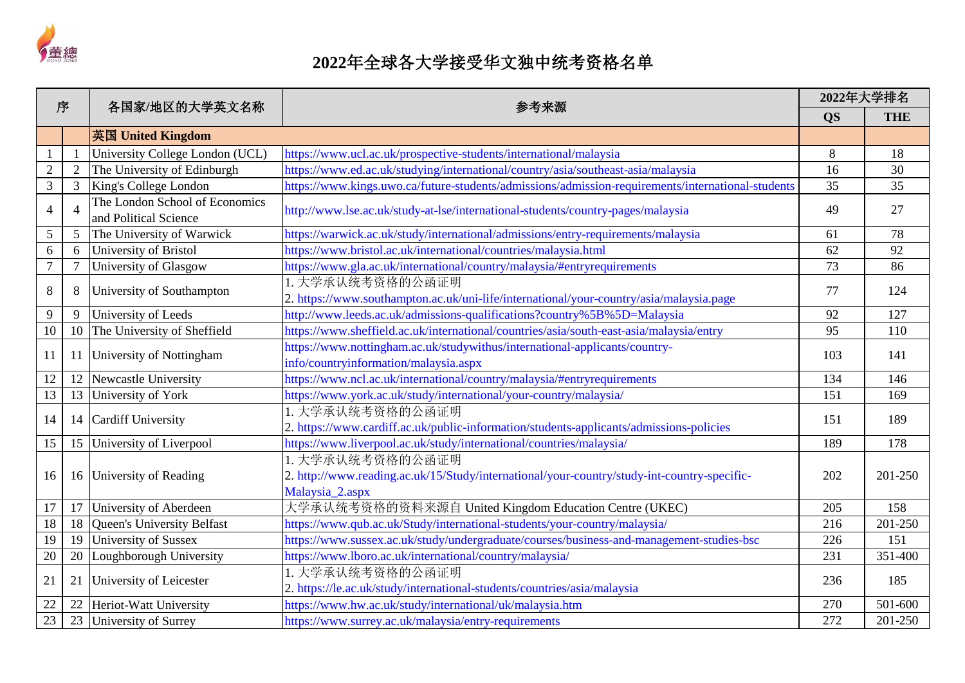

| 序                |                | 各国家/地区的大学英文名称                                           | 参考来源                                                                                                                               | 2022年大学排名 |            |
|------------------|----------------|---------------------------------------------------------|------------------------------------------------------------------------------------------------------------------------------------|-----------|------------|
|                  |                |                                                         |                                                                                                                                    | <b>QS</b> | <b>THE</b> |
|                  |                | 英国 United Kingdom                                       |                                                                                                                                    |           |            |
| $\mathbf{1}$     |                | University College London (UCL)                         | https://www.ucl.ac.uk/prospective-students/international/malaysia                                                                  | 8         | 18         |
| $\sqrt{2}$       | $\overline{2}$ | The University of Edinburgh                             | https://www.ed.ac.uk/studying/international/country/asia/southeast-asia/malaysia                                                   | 16        | 30         |
| $\mathfrak{Z}$   | 3              | King's College London                                   | https://www.kings.uwo.ca/future-students/admissions/admission-requirements/international-students                                  | 35        | 35         |
| $\overline{4}$   | 4              | The London School of Economics<br>and Political Science | http://www.lse.ac.uk/study-at-lse/international-students/country-pages/malaysia                                                    | 49        | 27         |
| 5                | 5              | The University of Warwick                               | https://warwick.ac.uk/study/international/admissions/entry-requirements/malaysia                                                   | 61        | 78         |
| 6                | 6              | University of Bristol                                   | https://www.bristol.ac.uk/international/countries/malaysia.html                                                                    | 62        | 92         |
| $\boldsymbol{7}$ | $\overline{7}$ | University of Glasgow                                   | https://www.gla.ac.uk/international/country/malaysia/#entryrequirements                                                            | 73        | 86         |
| $8\,$            | 8              | University of Southampton                               | 1. 大学承认统考资格的公函证明<br>2. https://www.southampton.ac.uk/uni-life/international/your-country/asia/malaysia.page                        | 77        | 124        |
| 9                | 9              | University of Leeds                                     | http://www.leeds.ac.uk/admissions-qualifications?country%5B%5D=Malaysia                                                            | 92        | 127        |
| 10               | 10             | The University of Sheffield                             | https://www.sheffield.ac.uk/international/countries/asia/south-east-asia/malaysia/entry                                            | 95        | 110        |
| 11               | 11             | University of Nottingham                                | https://www.nottingham.ac.uk/studywithus/international-applicants/country-<br>info/countryinformation/malaysia.aspx                | 103       | 141        |
| 12               | 12             | Newcastle University                                    | https://www.ncl.ac.uk/international/country/malaysia/#entryrequirements                                                            | 134       | 146        |
| 13               | 13             | University of York                                      | https://www.york.ac.uk/study/international/your-country/malaysia/                                                                  | 151       | 169        |
| 14               | 14             | <b>Cardiff University</b>                               | 1. 大学承认统考资格的公函证明<br>2. https://www.cardiff.ac.uk/public-information/students-applicants/admissions-policies                        | 151       | 189        |
| 15               | 15             | University of Liverpool                                 | https://www.liverpool.ac.uk/study/international/countries/malaysia/                                                                | 189       | 178        |
| 16               | 16             | University of Reading                                   | 1. 大学承认统考资格的公函证明<br>2. http://www.reading.ac.uk/15/Study/international/your-country/study-int-country-specific-<br>Malaysia_2.aspx | 202       | 201-250    |
| 17               | 17             | University of Aberdeen                                  | 大学承认统考资格的资料来源自 United Kingdom Education Centre (UKEC)                                                                              | 205       | 158        |
| 18               | 18             | <b>Queen's University Belfast</b>                       | https://www.qub.ac.uk/Study/international-students/your-country/malaysia/                                                          | 216       | 201-250    |
| 19               | 19             | University of Sussex                                    | https://www.sussex.ac.uk/study/undergraduate/courses/business-and-management-studies-bsc                                           | 226       | 151        |
| 20               | 20             | Loughborough University                                 | https://www.lboro.ac.uk/international/country/malaysia/                                                                            | 231       | 351-400    |
| 21               | 21             | University of Leicester                                 | 1. 大学承认统考资格的公函证明<br>2. https://le.ac.uk/study/international-students/countries/asia/malaysia                                       | 236       | 185        |
| 22               | 22             | Heriot-Watt University                                  | https://www.hw.ac.uk/study/international/uk/malaysia.htm                                                                           | 270       | 501-600    |
| 23               | 23             | University of Surrey                                    | https://www.surrey.ac.uk/malaysia/entry-requirements                                                                               | 272       | 201-250    |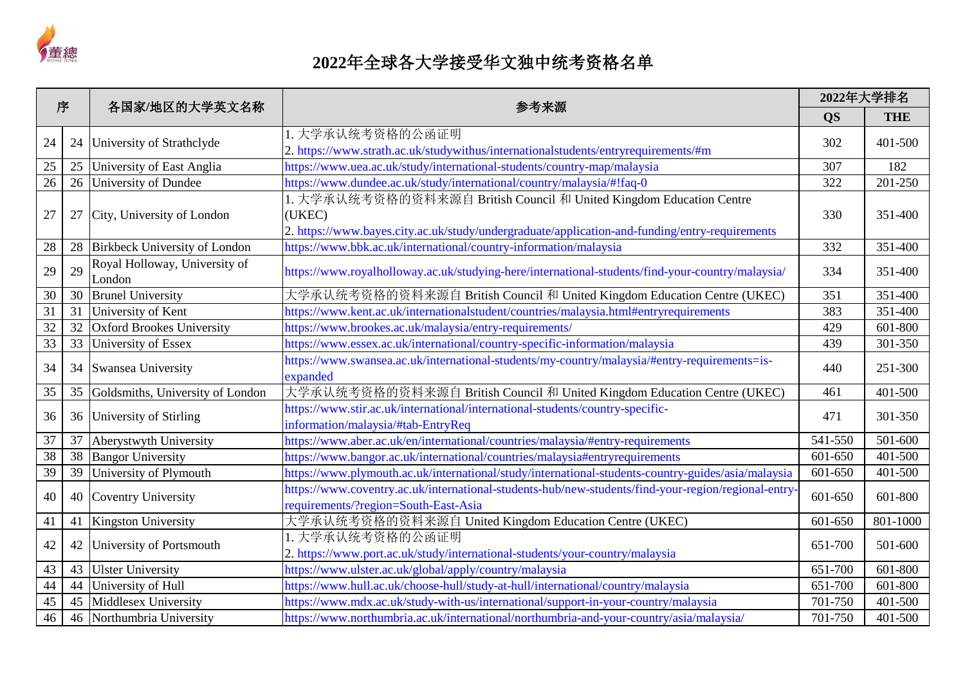

| 序               |    | 各国家/地区的大学英文名称                           | 参考来源                                                                                                                                                                            | 2022年大学排名 |            |
|-----------------|----|-----------------------------------------|---------------------------------------------------------------------------------------------------------------------------------------------------------------------------------|-----------|------------|
|                 |    |                                         |                                                                                                                                                                                 | <b>QS</b> | <b>THE</b> |
| 24              | 24 | University of Strathclyde               | 1. 大学承认统考资格的公函证明<br>2. https://www.strath.ac.uk/studywithus/internationalstudents/entryrequirements/#m                                                                          | 302       | 401-500    |
| 25              | 25 | University of East Anglia               | https://www.uea.ac.uk/study/international-students/country-map/malaysia                                                                                                         | 307       | 182        |
| 26              | 26 | University of Dundee                    | https://www.dundee.ac.uk/study/international/country/malaysia/#!faq-0                                                                                                           | 322       | 201-250    |
| 27              | 27 | City, University of London              | 1. 大学承认统考资格的资料来源自 British Council 和 United Kingdom Education Centre<br>(UKEC)<br>2. https://www.bayes.city.ac.uk/study/undergraduate/application-and-funding/entry-requirements | 330       | 351-400    |
| 28              | 28 | Birkbeck University of London           | https://www.bbk.ac.uk/international/country-information/malaysia                                                                                                                | 332       | 351-400    |
| 29              | 29 | Royal Holloway, University of<br>London | https://www.royalholloway.ac.uk/studying-here/international-students/find-your-country/malaysia/                                                                                | 334       | 351-400    |
| 30              | 30 | <b>Brunel University</b>                | 大学承认统考资格的资料来源自 British Council 和 United Kingdom Education Centre (UKEC)                                                                                                         | 351       | 351-400    |
| $\overline{31}$ | 31 | University of Kent                      | https://www.kent.ac.uk/internationalstudent/countries/malaysia.html#entryrequirements                                                                                           | 383       | 351-400    |
| $\overline{32}$ | 32 | <b>Oxford Brookes University</b>        | https://www.brookes.ac.uk/malaysia/entry-requirements/                                                                                                                          | 429       | 601-800    |
| $\overline{33}$ | 33 | University of Essex                     | https://www.essex.ac.uk/international/country-specific-information/malaysia                                                                                                     | 439       | 301-350    |
| 34              | 34 | Swansea University                      | https://www.swansea.ac.uk/international-students/my-country/malaysia/#entry-requirements=is-<br>expanded                                                                        | 440       | 251-300    |
| 35              | 35 | Goldsmiths, University of London        | 大学承认统考资格的资料来源自 British Council 和 United Kingdom Education Centre (UKEC)                                                                                                         | 461       | 401-500    |
| 36              | 36 | University of Stirling                  | https://www.stir.ac.uk/international/international-students/country-specific-<br>information/malaysia/#tab-EntryReq                                                             | 471       | 301-350    |
| 37              | 37 | Aberystwyth University                  | https://www.aber.ac.uk/en/international/countries/malaysia/#entry-requirements                                                                                                  | 541-550   | 501-600    |
| 38              | 38 | <b>Bangor University</b>                | https://www.bangor.ac.uk/international/countries/malaysia#entryrequirements                                                                                                     | 601-650   | 401-500    |
| 39              | 39 | University of Plymouth                  | https://www.plymouth.ac.uk/international/study/international-students-country-guides/asia/malaysia                                                                              | 601-650   | 401-500    |
| 40              | 40 | Coventry University                     | https://www.coventry.ac.uk/international-students-hub/new-students/find-your-region/regional-entry<br>requirements/?region=South-East-Asia                                      | 601-650   | 601-800    |
| 41              | 41 | Kingston University                     | 大学承认统考资格的资料来源自 United Kingdom Education Centre (UKEC)                                                                                                                           | 601-650   | 801-1000   |
| 42              | 42 | University of Portsmouth                | 1. 大学承认统考资格的公函证明<br>2. https://www.port.ac.uk/study/international-students/your-country/malaysia                                                                                | 651-700   | 501-600    |
| 43              | 43 | <b>Ulster University</b>                | https://www.ulster.ac.uk/global/apply/country/malaysia                                                                                                                          | 651-700   | 601-800    |
| 44              | 44 | University of Hull                      | https://www.hull.ac.uk/choose-hull/study-at-hull/international/country/malaysia                                                                                                 | 651-700   | 601-800    |
| 45              | 45 | Middlesex University                    | https://www.mdx.ac.uk/study-with-us/international/support-in-your-country/malaysia                                                                                              | 701-750   | 401-500    |
| 46              | 46 | Northumbria University                  | https://www.northumbria.ac.uk/international/northumbria-and-your-country/asia/malaysia/                                                                                         | 701-750   | 401-500    |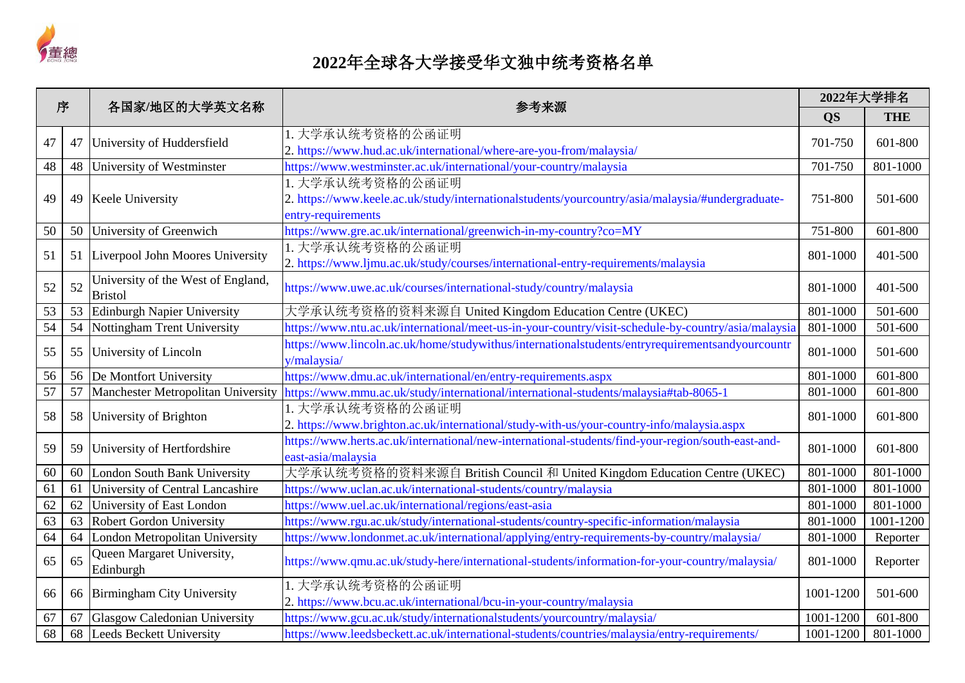

| 序               |    | 各国家/地区的大学英文名称<br>参考来源                                |                                                                                                                                            | 2022年大学排名 |            |
|-----------------|----|------------------------------------------------------|--------------------------------------------------------------------------------------------------------------------------------------------|-----------|------------|
|                 |    |                                                      |                                                                                                                                            | <b>QS</b> | <b>THE</b> |
| 47              | 47 | University of Huddersfield                           | 1. 大学承认统考资格的公函证明<br>2. https://www.hud.ac.uk/international/where-are-you-from/malaysia/                                                    | 701-750   | 601-800    |
| 48              | 48 | University of Westminster                            | https://www.westminster.ac.uk/international/your-country/malaysia                                                                          | 701-750   | 801-1000   |
| 49              | 49 | Keele University                                     | 1. 大学承认统考资格的公函证明<br>2. https://www.keele.ac.uk/study/internationalstudents/yourcountry/asia/malaysia/#undergraduate-<br>entry-requirements | 751-800   | 501-600    |
| 50              | 50 | University of Greenwich                              | https://www.gre.ac.uk/international/greenwich-in-my-country?co=MY                                                                          | 751-800   | 601-800    |
| 51              | 51 | Liverpool John Moores University                     | 1. 大学承认统考资格的公函证明<br>2. https://www.ljmu.ac.uk/study/courses/international-entry-requirements/malaysia                                      | 801-1000  | 401-500    |
| 52              | 52 | University of the West of England,<br><b>Bristol</b> | https://www.uwe.ac.uk/courses/international-study/country/malaysia                                                                         | 801-1000  | 401-500    |
| 53              | 53 | <b>Edinburgh Napier University</b>                   | 大学承认统考资格的资料来源自 United Kingdom Education Centre (UKEC)                                                                                      | 801-1000  | 501-600    |
| $\overline{54}$ | 54 | Nottingham Trent University                          | https://www.ntu.ac.uk/international/meet-us-in-your-country/visit-schedule-by-country/asia/malaysia                                        | 801-1000  | 501-600    |
| 55              | 55 | University of Lincoln                                | https://www.lincoln.ac.uk/home/studywithus/internationalstudents/entryrequirementsandyourcountr<br>y/malaysia/                             | 801-1000  | 501-600    |
| 56              | 56 | De Montfort University                               | https://www.dmu.ac.uk/international/en/entry-requirements.aspx                                                                             | 801-1000  | 601-800    |
| 57              | 57 | Manchester Metropolitan University                   | https://www.mmu.ac.uk/study/international/international-students/malaysia#tab-8065-1                                                       | 801-1000  | 601-800    |
| 58              | 58 | University of Brighton                               | 1. 大学承认统考资格的公函证明<br>2. https://www.brighton.ac.uk/international/study-with-us/your-country-info/malaysia.aspx                              | 801-1000  | 601-800    |
| 59              | 59 | University of Hertfordshire                          | https://www.herts.ac.uk/international/new-international-students/find-your-region/south-east-and-<br>east-asia/malaysia                    | 801-1000  | 601-800    |
| 60              | 60 | London South Bank University                         | 大学承认统考资格的资料来源自 British Council 和 United Kingdom Education Centre (UKEC)                                                                    | 801-1000  | 801-1000   |
| 61              | 61 | University of Central Lancashire                     | https://www.uclan.ac.uk/international-students/country/malaysia                                                                            | 801-1000  | 801-1000   |
| 62              | 62 | University of East London                            | https://www.uel.ac.uk/international/regions/east-asia                                                                                      | 801-1000  | 801-1000   |
| 63              | 63 | <b>Robert Gordon University</b>                      | https://www.rgu.ac.uk/study/international-students/country-specific-information/malaysia                                                   | 801-1000  | 1001-1200  |
| $\overline{64}$ | 64 | London Metropolitan University                       | https://www.londonmet.ac.uk/international/applying/entry-requirements-by-country/malaysia/                                                 | 801-1000  | Reporter   |
| 65              | 65 | Queen Margaret University,<br>Edinburgh              | https://www.qmu.ac.uk/study-here/international-students/information-for-your-country/malaysia/                                             | 801-1000  | Reporter   |
| 66              | 66 | Birmingham City University                           | 1. 大学承认统考资格的公函证明<br>2. https://www.bcu.ac.uk/international/bcu-in-your-country/malaysia                                                    | 1001-1200 | 501-600    |
| 67              | 67 | Glasgow Caledonian University                        | https://www.gcu.ac.uk/study/internationalstudents/yourcountry/malaysia/                                                                    | 1001-1200 | 601-800    |
| 68              | 68 | Leeds Beckett University                             | https://www.leedsbeckett.ac.uk/international-students/countries/malaysia/entry-requirements/                                               | 1001-1200 | 801-1000   |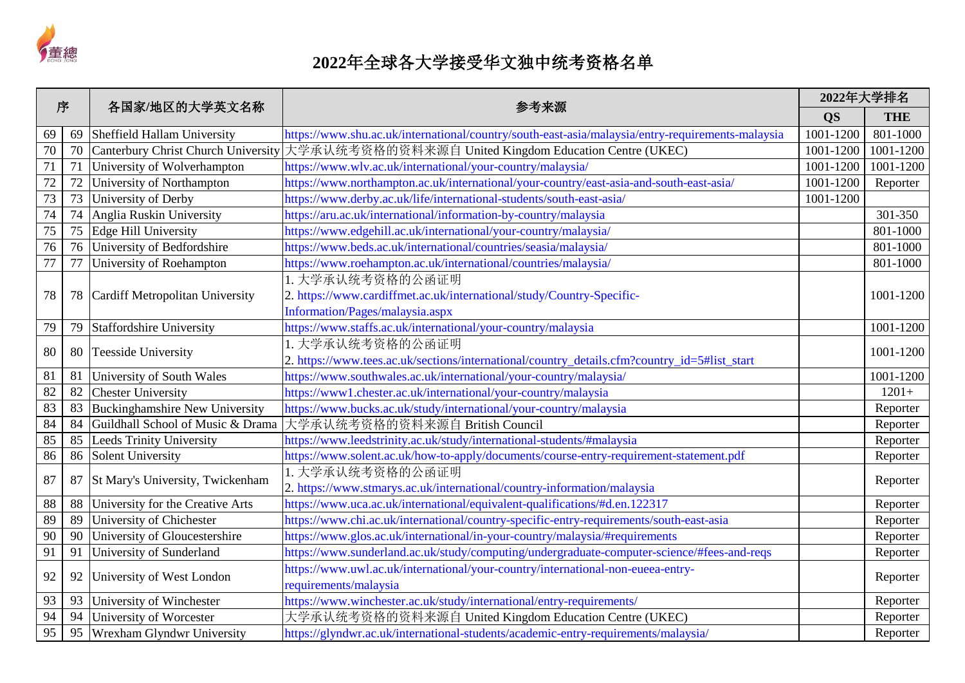

| 序               |    | 各国家/地区的大学英文名称                         | 参考来源                                                                                             |           | 2022年大学排名  |
|-----------------|----|---------------------------------------|--------------------------------------------------------------------------------------------------|-----------|------------|
|                 |    |                                       |                                                                                                  | <b>QS</b> | <b>THE</b> |
| 69              | 69 | Sheffield Hallam University           | https://www.shu.ac.uk/international/country/south-east-asia/malaysia/entry-requirements-malaysia | 1001-1200 | 801-1000   |
| $\overline{70}$ | 70 | Canterbury Christ Church University   | 大学承认统考资格的资料来源自 United Kingdom Education Centre (UKEC)                                            | 1001-1200 | 1001-1200  |
| 71              | 71 | University of Wolverhampton           | https://www.wlv.ac.uk/international/your-country/malaysia/                                       | 1001-1200 | 1001-1200  |
| 72              | 72 | University of Northampton             | https://www.northampton.ac.uk/international/your-country/east-asia-and-south-east-asia/          | 1001-1200 | Reporter   |
| 73              | 73 | University of Derby                   | https://www.derby.ac.uk/life/international-students/south-east-asia/                             | 1001-1200 |            |
| $\overline{74}$ | 74 | Anglia Ruskin University              | https://aru.ac.uk/international/information-by-country/malaysia                                  |           | 301-350    |
| 75              | 75 | Edge Hill University                  | https://www.edgehill.ac.uk/international/your-country/malaysia/                                  |           | 801-1000   |
| 76              | 76 | University of Bedfordshire            | https://www.beds.ac.uk/international/countries/seasia/malaysia/                                  |           | 801-1000   |
| 77              | 77 | University of Roehampton              | https://www.roehampton.ac.uk/international/countries/malaysia/                                   |           | 801-1000   |
|                 |    |                                       | 1. 大学承认统考资格的公函证明                                                                                 |           |            |
| 78              | 78 | Cardiff Metropolitan University       | 2. https://www.cardiffmet.ac.uk/international/study/Country-Specific-                            |           | 1001-1200  |
|                 |    |                                       | Information/Pages/malaysia.aspx                                                                  |           |            |
| 79              | 79 | <b>Staffordshire University</b>       | https://www.staffs.ac.uk/international/your-country/malaysia                                     |           | 1001-1200  |
|                 |    |                                       | 1. 大学承认统考资格的公函证明                                                                                 |           |            |
| 80              | 80 | <b>Teesside University</b>            | 2. https://www.tees.ac.uk/sections/international/country_details.cfm?country_id=5#list_start     |           | 1001-1200  |
| 81              | 81 | University of South Wales             | https://www.southwales.ac.uk/international/your-country/malaysia/                                |           | 1001-1200  |
| 82              | 82 | <b>Chester University</b>             | https://www1.chester.ac.uk/international/your-country/malaysia                                   |           | $1201+$    |
| 83              | 83 | <b>Buckinghamshire New University</b> | https://www.bucks.ac.uk/study/international/your-country/malaysia                                |           | Reporter   |
| 84              | 84 | Guildhall School of Music & Drama     | 大学承认统考资格的资料来源自 British Council                                                                   |           | Reporter   |
| 85              | 85 | <b>Leeds Trinity University</b>       | https://www.leedstrinity.ac.uk/study/international-students/#malaysia                            |           | Reporter   |
| 86              | 86 | <b>Solent University</b>              | https://www.solent.ac.uk/how-to-apply/documents/course-entry-requirement-statement.pdf           |           | Reporter   |
|                 |    |                                       | 1. 大学承认统考资格的公函证明                                                                                 |           |            |
| 87              | 87 | St Mary's University, Twickenham      | 2. https://www.stmarys.ac.uk/international/country-information/malaysia                          |           | Reporter   |
| 88              | 88 | University for the Creative Arts      | https://www.uca.ac.uk/international/equivalent-qualifications/#d.en.122317                       |           | Reporter   |
| 89              | 89 | University of Chichester              | https://www.chi.ac.uk/international/country-specific-entry-requirements/south-east-asia          |           | Reporter   |
| 90              | 90 | University of Gloucestershire         | https://www.glos.ac.uk/international/in-your-country/malaysia/#requirements                      |           | Reporter   |
| 91              | 91 | University of Sunderland              | https://www.sunderland.ac.uk/study/computing/undergraduate-computer-science/#fees-and-reqs       |           | Reporter   |
|                 |    |                                       | https://www.uwl.ac.uk/international/your-country/international-non-eueea-entry-                  |           |            |
| 92              | 92 | University of West London             | requirements/malaysia                                                                            |           | Reporter   |
| 93              | 93 | University of Winchester              | https://www.winchester.ac.uk/study/international/entry-requirements/                             |           | Reporter   |
| 94              | 94 | University of Worcester               | 大学承认统考资格的资料来源自 United Kingdom Education Centre (UKEC)                                            |           | Reporter   |
| 95              | 95 | Wrexham Glyndwr University            | https://glyndwr.ac.uk/international-students/academic-entry-requirements/malaysia/               |           | Reporter   |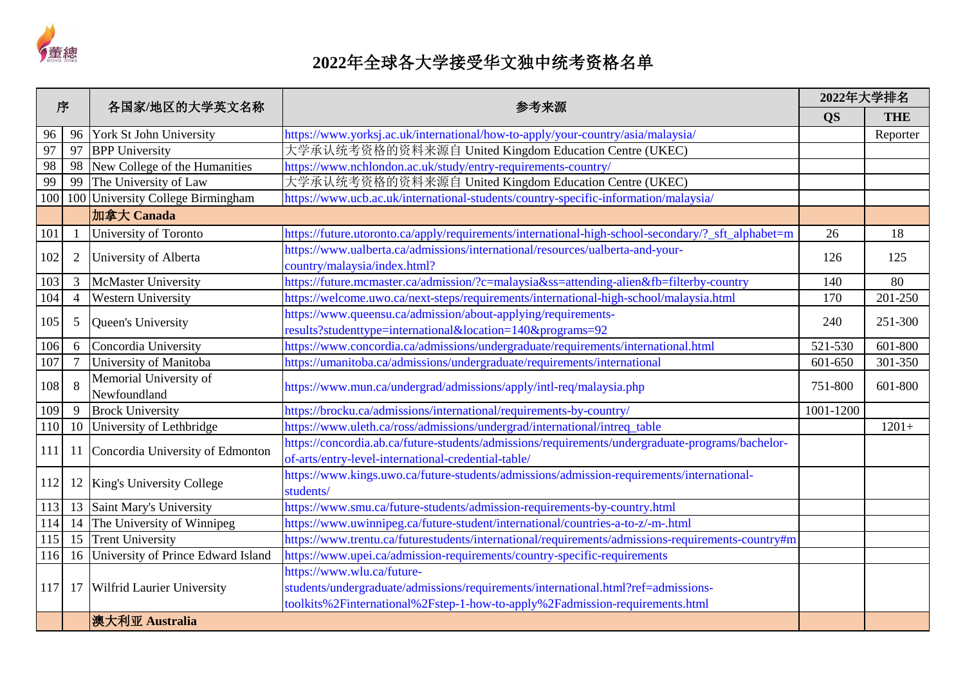

| 序   |                |                                    | 各国家/地区的大学英文名称<br>参考来源                                                                              | 2022年大学排名 |            |         |
|-----|----------------|------------------------------------|----------------------------------------------------------------------------------------------------|-----------|------------|---------|
|     |                |                                    |                                                                                                    | <b>QS</b> | <b>THE</b> |         |
| 96  | 96             | York St John University            | https://www.yorksj.ac.uk/international/how-to-apply/your-country/asia/malaysia/                    |           | Reporter   |         |
| 97  | 97             | <b>BPP</b> University              | 大学承认统考资格的资料来源自 United Kingdom Education Centre (UKEC)                                              |           |            |         |
| 98  | 98             | New College of the Humanities      | https://www.nchlondon.ac.uk/study/entry-requirements-country/                                      |           |            |         |
| 99  | 99             | The University of Law              | 大学承认统考资格的资料来源自 United Kingdom Education Centre (UKEC)                                              |           |            |         |
| 100 | 100            | University College Birmingham      | https://www.ucb.ac.uk/international-students/country-specific-information/malaysia/                |           |            |         |
|     |                | 加拿大 Canada                         |                                                                                                    |           |            |         |
| 101 |                | University of Toronto              | https://future.utoronto.ca/apply/requirements/international-high-school-secondary/?_sft_alphabet=m | 26        | 18         |         |
| 102 | $\overline{2}$ | University of Alberta              | https://www.ualberta.ca/admissions/international/resources/ualberta-and-your-                      | 126       | 125        |         |
|     |                |                                    | country/malaysia/index.html?                                                                       |           |            |         |
| 103 | 3              | <b>McMaster University</b>         | https://future.mcmaster.ca/admission/?c=malaysia&ss=attending-alien&fb=filterby-country            | 140       | 80         |         |
| 104 | $\overline{4}$ | <b>Western University</b>          | https://welcome.uwo.ca/next-steps/requirements/international-high-school/malaysia.html             | 170       | 201-250    |         |
|     | 5              | Queen's University                 | https://www.queensu.ca/admission/about-applying/requirements-                                      |           | 240        | 251-300 |
| 105 |                |                                    | results?studenttype=international&location=140&programs=92                                         |           |            |         |
| 106 | 6              | Concordia University               | https://www.concordia.ca/admissions/undergraduate/requirements/international.html                  | 521-530   | 601-800    |         |
| 107 | $\overline{7}$ | University of Manitoba             | https://umanitoba.ca/admissions/undergraduate/requirements/international                           | 601-650   | 301-350    |         |
| 108 | 8              | Memorial University of             | https://www.mun.ca/undergrad/admissions/apply/intl-req/malaysia.php                                | 751-800   | 601-800    |         |
|     |                | Newfoundland                       |                                                                                                    |           |            |         |
| 109 | 9              | <b>Brock University</b>            | https://brocku.ca/admissions/international/requirements-by-country/                                | 1001-1200 |            |         |
| 110 | 10             | University of Lethbridge           | https://www.uleth.ca/ross/admissions/undergrad/international/intreq_table                          |           | $1201+$    |         |
| 111 | 11             | Concordia University of Edmonton   | https://concordia.ab.ca/future-students/admissions/requirements/undergraduate-programs/bachelor-   |           |            |         |
|     |                |                                    | of-arts/entry-level-international-credential-table/                                                |           |            |         |
| 112 |                | 12 King's University College       | https://www.kings.uwo.ca/future-students/admissions/admission-requirements/international-          |           |            |         |
|     |                |                                    | students/                                                                                          |           |            |         |
| 113 | 13             | Saint Mary's University            | https://www.smu.ca/future-students/admission-requirements-by-country.html                          |           |            |         |
| 114 | 14             | The University of Winnipeg         | https://www.uwinnipeg.ca/future-student/international/countries-a-to-z/-m-.html                    |           |            |         |
| 115 | 15             | <b>Trent University</b>            | https://www.trentu.ca/futurestudents/international/requirements/admissions-requirements-country#m  |           |            |         |
| 116 | 16             | University of Prince Edward Island | https://www.upei.ca/admission-requirements/country-specific-requirements                           |           |            |         |
|     |                |                                    | https://www.wlu.ca/future-                                                                         |           |            |         |
| 117 | 17             | <b>Wilfrid Laurier University</b>  | students/undergraduate/admissions/requirements/international.html?ref=admissions-                  |           |            |         |
|     |                |                                    | toolkits%2Finternational%2Fstep-1-how-to-apply%2Fadmission-requirements.html                       |           |            |         |
|     |                | 澳大利亚 Australia                     |                                                                                                    |           |            |         |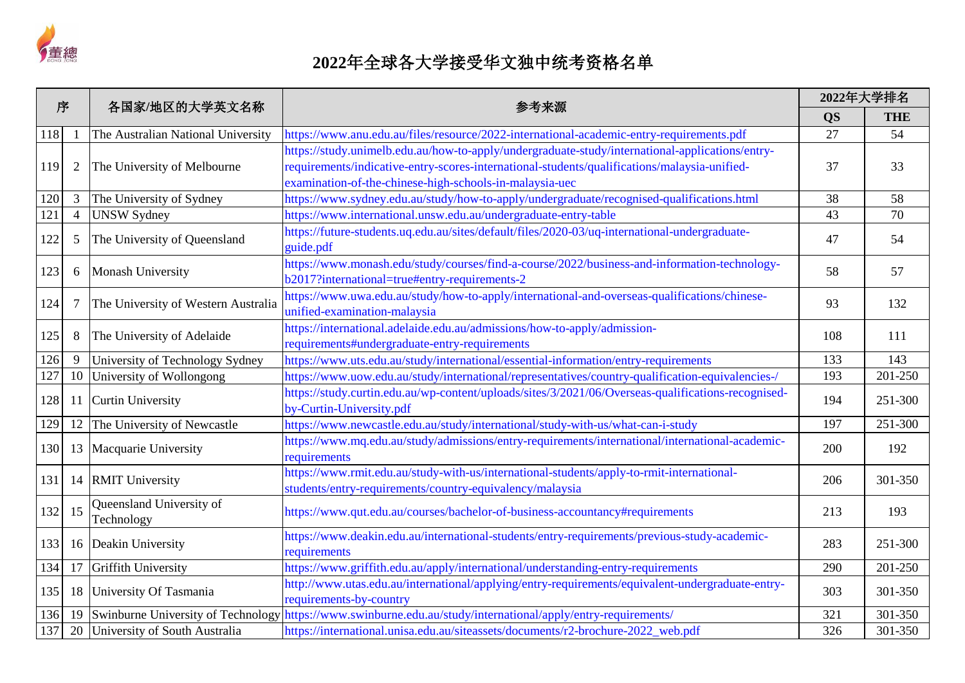

| 序   |                | 各国家/地区的大学英文名称                          | 参考来源                                                                                                                                                                                                                                                       |           | 2022年大学排名  |
|-----|----------------|----------------------------------------|------------------------------------------------------------------------------------------------------------------------------------------------------------------------------------------------------------------------------------------------------------|-----------|------------|
|     |                |                                        |                                                                                                                                                                                                                                                            | <b>QS</b> | <b>THE</b> |
| 118 |                | The Australian National University     | https://www.anu.edu.au/files/resource/2022-international-academic-entry-requirements.pdf                                                                                                                                                                   | 27        | 54         |
| 119 | $\overline{2}$ | The University of Melbourne            | https://study.unimelb.edu.au/how-to-apply/undergraduate-study/international-applications/entry-<br>requirements/indicative-entry-scores-international-students/qualifications/malaysia-unified-<br>examination-of-the-chinese-high-schools-in-malaysia-uec | 37        | 33         |
| 120 | 3              | The University of Sydney               | https://www.sydney.edu.au/study/how-to-apply/undergraduate/recognised-qualifications.html                                                                                                                                                                  | 38        | 58         |
| 121 | $\overline{4}$ | <b>UNSW Sydney</b>                     | https://www.international.unsw.edu.au/undergraduate-entry-table                                                                                                                                                                                            | 43        | 70         |
| 122 | 5              | The University of Queensland           | https://future-students.uq.edu.au/sites/default/files/2020-03/uq-international-undergraduate-<br>guide.pdf                                                                                                                                                 | 47        | 54         |
| 123 | 6              | Monash University                      | https://www.monash.edu/study/courses/find-a-course/2022/business-and-information-technology-<br>b2017?international=true#entry-requirements-2                                                                                                              | 58        | 57         |
| 124 | $\overline{7}$ | The University of Western Australia    | https://www.uwa.edu.au/study/how-to-apply/international-and-overseas-qualifications/chinese-<br>unified-examination-malaysia                                                                                                                               | 93        | 132        |
| 125 | 8              | The University of Adelaide             | https://international.adelaide.edu.au/admissions/how-to-apply/admission-<br>requirements#undergraduate-entry-requirements                                                                                                                                  | 108       | 111        |
| 126 | 9              | University of Technology Sydney        | https://www.uts.edu.au/study/international/essential-information/entry-requirements                                                                                                                                                                        | 133       | 143        |
| 127 | 10             | University of Wollongong               | https://www.uow.edu.au/study/international/representatives/country-qualification-equivalencies-/                                                                                                                                                           | 193       | 201-250    |
| 128 | 11             | <b>Curtin University</b>               | https://study.curtin.edu.au/wp-content/uploads/sites/3/2021/06/Overseas-qualifications-recognised-<br>by-Curtin-University.pdf                                                                                                                             | 194       | 251-300    |
| 129 | 12             | The University of Newcastle            | https://www.newcastle.edu.au/study/international/study-with-us/what-can-i-study                                                                                                                                                                            | 197       | 251-300    |
| 130 | 13             | Macquarie University                   | https://www.mq.edu.au/study/admissions/entry-requirements/international/international-academic-<br>requirements                                                                                                                                            | 200       | 192        |
| 131 | 14             | <b>RMIT University</b>                 | https://www.rmit.edu.au/study-with-us/international-students/apply-to-rmit-international-<br>students/entry-requirements/country-equivalency/malaysia                                                                                                      | 206       | 301-350    |
| 132 | 15             | Queensland University of<br>Technology | https://www.qut.edu.au/courses/bachelor-of-business-accountancy#requirements                                                                                                                                                                               | 213       | 193        |
| 133 | 16             | Deakin University                      | https://www.deakin.edu.au/international-students/entry-requirements/previous-study-academic-<br>requirements                                                                                                                                               | 283       | 251-300    |
| 134 | 17             | <b>Griffith University</b>             | https://www.griffith.edu.au/apply/international/understanding-entry-requirements                                                                                                                                                                           | 290       | 201-250    |
| 135 | 18             | University Of Tasmania                 | http://www.utas.edu.au/international/applying/entry-requirements/equivalent-undergraduate-entry-<br>requirements-by-country                                                                                                                                | 303       | 301-350    |
| 136 | 19             | Swinburne University of Technology     | https://www.swinburne.edu.au/study/international/apply/entry-requirements/                                                                                                                                                                                 | 321       | 301-350    |
| 137 |                | 20 University of South Australia       | https://international.unisa.edu.au/siteassets/documents/r2-brochure-2022_web.pdf                                                                                                                                                                           | 326       | 301-350    |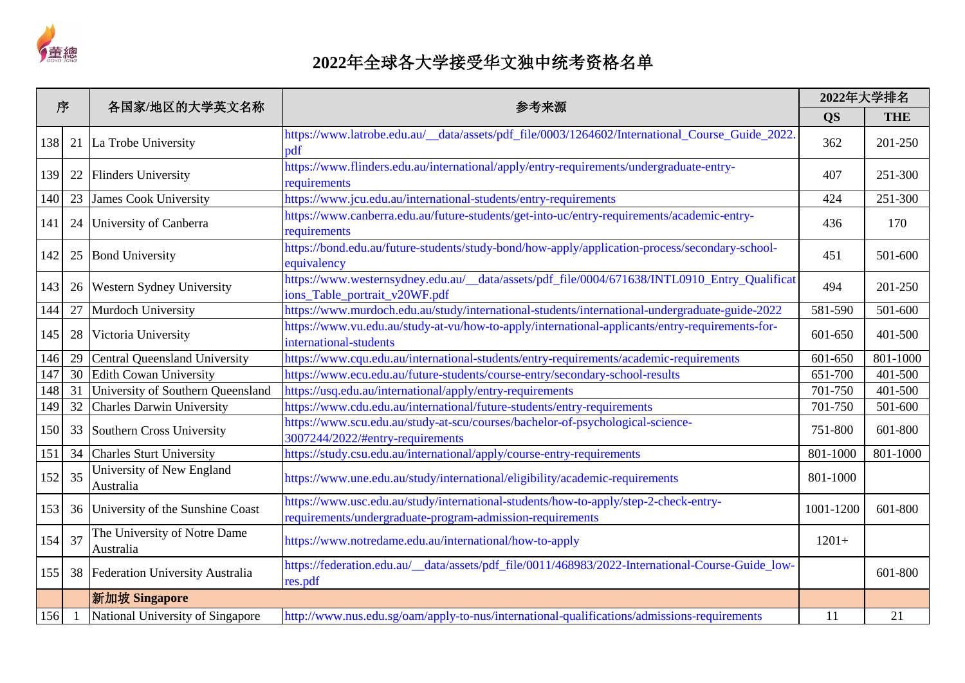

| 序   |    |                                           | 各国家/地区的大学英文名称<br>参考来源                                                                                                                             | 2022年大学排名 |            |
|-----|----|-------------------------------------------|---------------------------------------------------------------------------------------------------------------------------------------------------|-----------|------------|
|     |    |                                           |                                                                                                                                                   | <b>QS</b> | <b>THE</b> |
| 138 | 21 | La Trobe University                       | https://www.latrobe.edu.au/_data/assets/pdf_file/0003/1264602/International_Course_Guide_2022<br>pdf                                              | 362       | 201-250    |
| 139 | 22 | <b>Flinders University</b>                | https://www.flinders.edu.au/international/apply/entry-requirements/undergraduate-entry-<br>requirements                                           | 407       | 251-300    |
| 140 | 23 | <b>James Cook University</b>              | https://www.jcu.edu.au/international-students/entry-requirements                                                                                  | 424       | 251-300    |
| 141 | 24 | University of Canberra                    | https://www.canberra.edu.au/future-students/get-into-uc/entry-requirements/academic-entry-<br>requirements                                        | 436       | 170        |
| 142 | 25 | <b>Bond University</b>                    | https://bond.edu.au/future-students/study-bond/how-apply/application-process/secondary-school-<br>equivalency                                     | 451       | 501-600    |
| 143 | 26 | Western Sydney University                 | https://www.westernsydney.edu.au/_data/assets/pdf_file/0004/671638/INTL0910_Entry_Qualificat<br>ions_Table_portrait_v20WF.pdf                     | 494       | 201-250    |
| 144 | 27 | Murdoch University                        | https://www.murdoch.edu.au/study/international-students/international-undergraduate-guide-2022                                                    | 581-590   | 501-600    |
| 145 | 28 | Victoria University                       | https://www.vu.edu.au/study-at-vu/how-to-apply/international-applicants/entry-requirements-for-<br>international-students                         | 601-650   | 401-500    |
| 146 | 29 | <b>Central Queensland University</b>      | https://www.cqu.edu.au/international-students/entry-requirements/academic-requirements                                                            | 601-650   | 801-1000   |
| 147 | 30 | <b>Edith Cowan University</b>             | https://www.ecu.edu.au/future-students/course-entry/secondary-school-results                                                                      | 651-700   | 401-500    |
| 148 | 31 | University of Southern Queensland         | https://usq.edu.au/international/apply/entry-requirements                                                                                         | 701-750   | 401-500    |
| 149 | 32 | <b>Charles Darwin University</b>          | https://www.cdu.edu.au/international/future-students/entry-requirements                                                                           | 701-750   | 501-600    |
| 150 | 33 | Southern Cross University                 | https://www.scu.edu.au/study-at-scu/courses/bachelor-of-psychological-science-<br>3007244/2022/#entry-requirements                                | 751-800   | 601-800    |
| 151 | 34 | <b>Charles Sturt University</b>           | https://study.csu.edu.au/international/apply/course-entry-requirements                                                                            | 801-1000  | 801-1000   |
| 152 | 35 | University of New England<br>Australia    | https://www.une.edu.au/study/international/eligibility/academic-requirements                                                                      | 801-1000  |            |
| 153 | 36 | University of the Sunshine Coast          | https://www.usc.edu.au/study/international-students/how-to-apply/step-2-check-entry-<br>requirements/undergraduate-program-admission-requirements | 1001-1200 | 601-800    |
| 154 | 37 | The University of Notre Dame<br>Australia | https://www.notredame.edu.au/international/how-to-apply                                                                                           | $1201+$   |            |
| 155 | 38 | Federation University Australia           | https://federation.edu.au/_data/assets/pdf_file/0011/468983/2022-International-Course-Guide_low-<br>res.pdf                                       |           | 601-800    |
|     |    | 新加坡 Singapore                             |                                                                                                                                                   |           |            |
| 156 |    | National University of Singapore          | http://www.nus.edu.sg/oam/apply-to-nus/international-qualifications/admissions-requirements                                                       | 11        | 21         |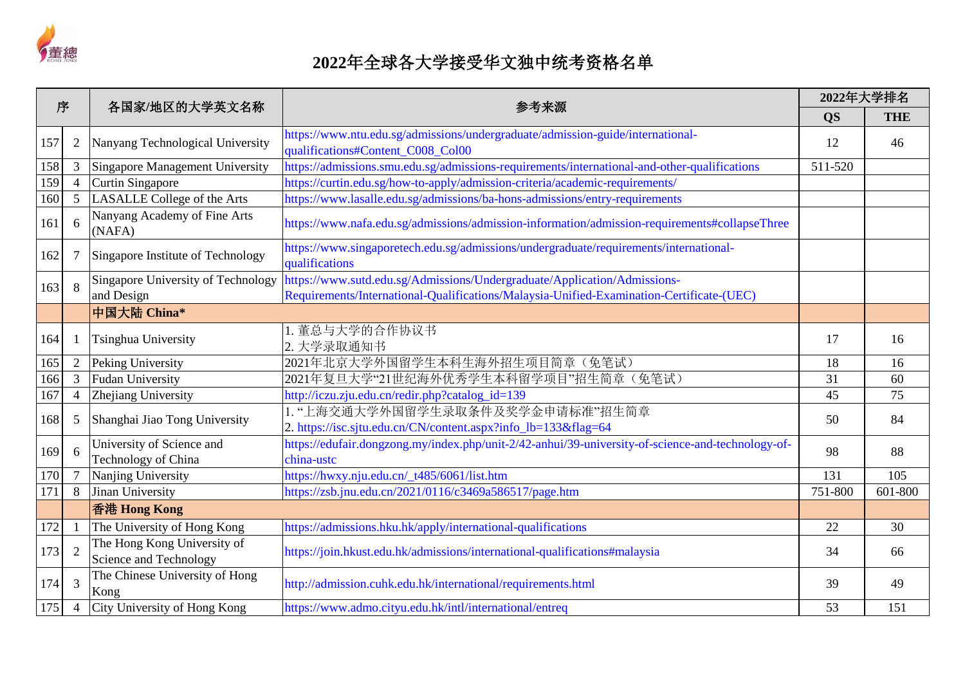

| 序   |                | 各国家/地区的大学英文名称                                         | 参考来源                                                                                                                | 2022年大学排名 |            |
|-----|----------------|-------------------------------------------------------|---------------------------------------------------------------------------------------------------------------------|-----------|------------|
|     |                |                                                       |                                                                                                                     | <b>QS</b> | <b>THE</b> |
| 157 | $\overline{2}$ | Nanyang Technological University                      | https://www.ntu.edu.sg/admissions/undergraduate/admission-guide/international-<br>qualifications#Content_C008_Col00 | 12        | 46         |
| 158 | $\mathfrak{Z}$ | Singapore Management University                       | https://admissions.smu.edu.sg/admissions-requirements/international-and-other-qualifications                        | 511-520   |            |
| 159 | $\overline{4}$ | Curtin Singapore                                      | https://curtin.edu.sg/how-to-apply/admission-criteria/academic-requirements/                                        |           |            |
| 160 | 5              | LASALLE College of the Arts                           | https://www.lasalle.edu.sg/admissions/ba-hons-admissions/entry-requirements                                         |           |            |
| 161 | 6              | Nanyang Academy of Fine Arts<br>(NAFA)                | https://www.nafa.edu.sg/admissions/admission-information/admission-requirements#collapseThree                       |           |            |
| 162 | 7              | Singapore Institute of Technology                     | https://www.singaporetech.edu.sg/admissions/undergraduate/requirements/international-<br>qualifications             |           |            |
| 163 | 8              | Singapore University of Technology                    | https://www.sutd.edu.sg/Admissions/Undergraduate/Application/Admissions-                                            |           |            |
|     |                | and Design                                            | Requirements/International-Qualifications/Malaysia-Unified-Examination-Certificate-(UEC)                            |           |            |
|     |                | 中国大陆 China*                                           |                                                                                                                     |           |            |
| 164 |                | Tsinghua University                                   | 1. 董总与大学的合作协议书<br>2. 大学录取通知书                                                                                        | 17        | 16         |
| 165 | $\overline{2}$ | Peking University                                     | 2021年北京大学外国留学生本科生海外招生项目简章(免笔试)                                                                                      | 18        | 16         |
| 166 | 3              | <b>Fudan University</b>                               | 2021年复旦大学"21世纪海外优秀学生本科留学项目"招生简章(免笔试)                                                                                | 31        | 60         |
| 167 | $\overline{4}$ | Zhejiang University                                   | http://iczu.zju.edu.cn/redir.php?catalog_id=139                                                                     | 45        | 75         |
| 168 | 5              | Shanghai Jiao Tong University                         | 1. "上海交通大学外国留学生录取条件及奖学金申请标准"招生简章<br>2. https://isc.sjtu.edu.cn/CN/content.aspx?info_lb=133&flag=64                  | 50        | 84         |
|     |                | University of Science and                             | https://edufair.dongzong.my/index.php/unit-2/42-anhui/39-university-of-science-and-technology-of-                   |           |            |
| 169 | 6              | Technology of China                                   | china-ustc                                                                                                          | 98        | 88         |
| 170 | $\overline{7}$ | Nanjing University                                    | https://hwxy.nju.edu.cn/_t485/6061/list.htm                                                                         | 131       | 105        |
| 171 | 8              | Jinan University                                      | https://zsb.jnu.edu.cn/2021/0116/c3469a586517/page.htm                                                              | 751-800   | 601-800    |
|     |                | 香港 Hong Kong                                          |                                                                                                                     |           |            |
| 172 |                | The University of Hong Kong                           | https://admissions.hku.hk/apply/international-qualifications                                                        | 22        | 30         |
| 173 | $\overline{2}$ | The Hong Kong University of<br>Science and Technology | https://join.hkust.edu.hk/admissions/international-qualifications#malaysia                                          | 34        | 66         |
| 174 | $\overline{3}$ | The Chinese University of Hong<br>Kong                | http://admission.cuhk.edu.hk/international/requirements.html                                                        | 39        | 49         |
| 175 | $\overline{4}$ | City University of Hong Kong                          | https://www.admo.cityu.edu.hk/intl/international/entreq                                                             | 53        | 151        |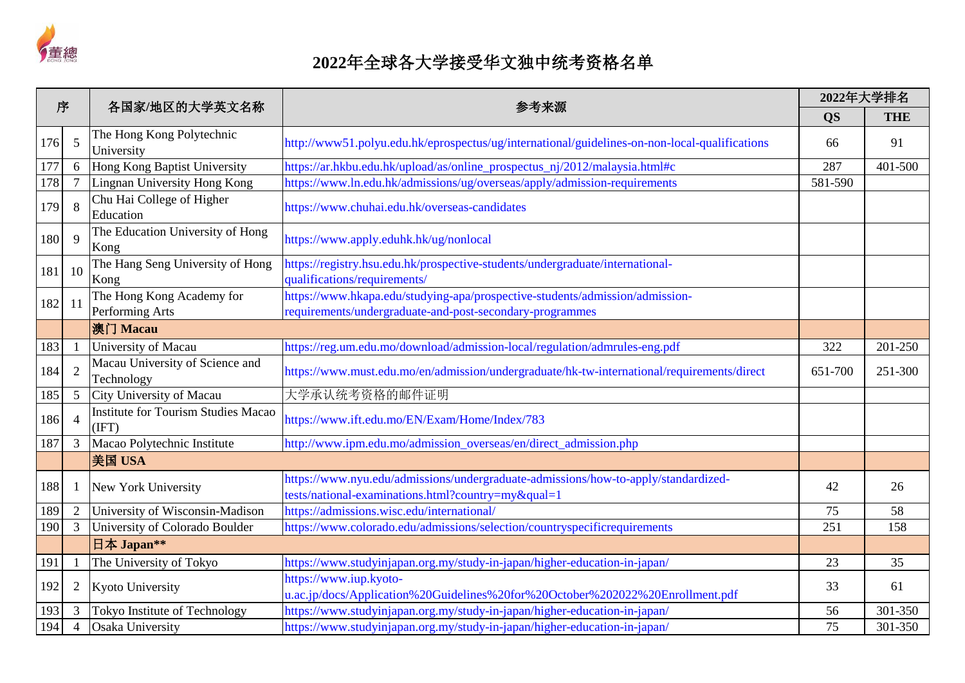

| 序   |                | 各国家/地区的大学英文名称                                       | 参考来源                                                                                                                                     | 2022年大学排名 |            |
|-----|----------------|-----------------------------------------------------|------------------------------------------------------------------------------------------------------------------------------------------|-----------|------------|
|     |                |                                                     |                                                                                                                                          | <b>QS</b> | <b>THE</b> |
| 176 | 5              | The Hong Kong Polytechnic<br>University             | http://www51.polyu.edu.hk/eprospectus/ug/international/guidelines-on-non-local-qualifications                                            | 66        | 91         |
| 177 | 6              | Hong Kong Baptist University                        | https://ar.hkbu.edu.hk/upload/as/online_prospectus_nj/2012/malaysia.html#c                                                               | 287       | 401-500    |
| 178 | 7              | Lingnan University Hong Kong                        | https://www.ln.edu.hk/admissions/ug/overseas/apply/admission-requirements                                                                | 581-590   |            |
| 179 | 8              | Chu Hai College of Higher<br>Education              | https://www.chuhai.edu.hk/overseas-candidates                                                                                            |           |            |
| 180 | 9              | The Education University of Hong<br>Kong            | https://www.apply.eduhk.hk/ug/nonlocal                                                                                                   |           |            |
| 181 | 10             | The Hang Seng University of Hong<br>Kong            | https://registry.hsu.edu.hk/prospective-students/undergraduate/international-<br>qualifications/requirements/                            |           |            |
| 182 | 11             | The Hong Kong Academy for<br>Performing Arts        | https://www.hkapa.edu/studying-apa/prospective-students/admission/admission-<br>requirements/undergraduate-and-post-secondary-programmes |           |            |
|     |                | 澳门 Macau                                            |                                                                                                                                          |           |            |
| 183 |                | University of Macau                                 | https://reg.um.edu.mo/download/admission-local/regulation/admrules-eng.pdf                                                               | 322       | 201-250    |
| 184 | 2              | Macau University of Science and<br>Technology       | https://www.must.edu.mo/en/admission/undergraduate/hk-tw-international/requirements/direct                                               | 651-700   | 251-300    |
| 185 | 5              | City University of Macau                            | 大学承认统考资格的邮件证明                                                                                                                            |           |            |
| 186 | $\overline{4}$ | <b>Institute for Tourism Studies Macao</b><br>(IFT) | https://www.ift.edu.mo/EN/Exam/Home/Index/783                                                                                            |           |            |
| 187 | 3              | Macao Polytechnic Institute                         | http://www.ipm.edu.mo/admission_overseas/en/direct_admission.php                                                                         |           |            |
|     |                | 美国 USA                                              |                                                                                                                                          |           |            |
| 188 |                | New York University                                 | https://www.nyu.edu/admissions/undergraduate-admissions/how-to-apply/standardized-<br>tests/national-examinations.html?country=my&qual=1 | 42        | 26         |
| 189 | $\overline{2}$ | University of Wisconsin-Madison                     | https://admissions.wisc.edu/international/                                                                                               | 75        | 58         |
| 190 | 3              | University of Colorado Boulder                      | https://www.colorado.edu/admissions/selection/countryspecificrequirements                                                                | 251       | 158        |
|     |                | 日本 Japan**                                          |                                                                                                                                          |           |            |
| 191 |                | The University of Tokyo                             | https://www.studyinjapan.org.my/study-in-japan/higher-education-in-japan/                                                                | 23        | 35         |
| 192 | $\overline{2}$ | Kyoto University                                    | https://www.iup.kyoto-<br>u.ac.jp/docs/Application%20Guidelines%20for%20October%202022%20Enrollment.pdf                                  | 33        | 61         |
| 193 | 3              | Tokyo Institute of Technology                       | https://www.studyinjapan.org.my/study-in-japan/higher-education-in-japan/                                                                | 56        | 301-350    |
| 194 | $\overline{4}$ | Osaka University                                    | https://www.studyinjapan.org.my/study-in-japan/higher-education-in-japan/                                                                | 75        | 301-350    |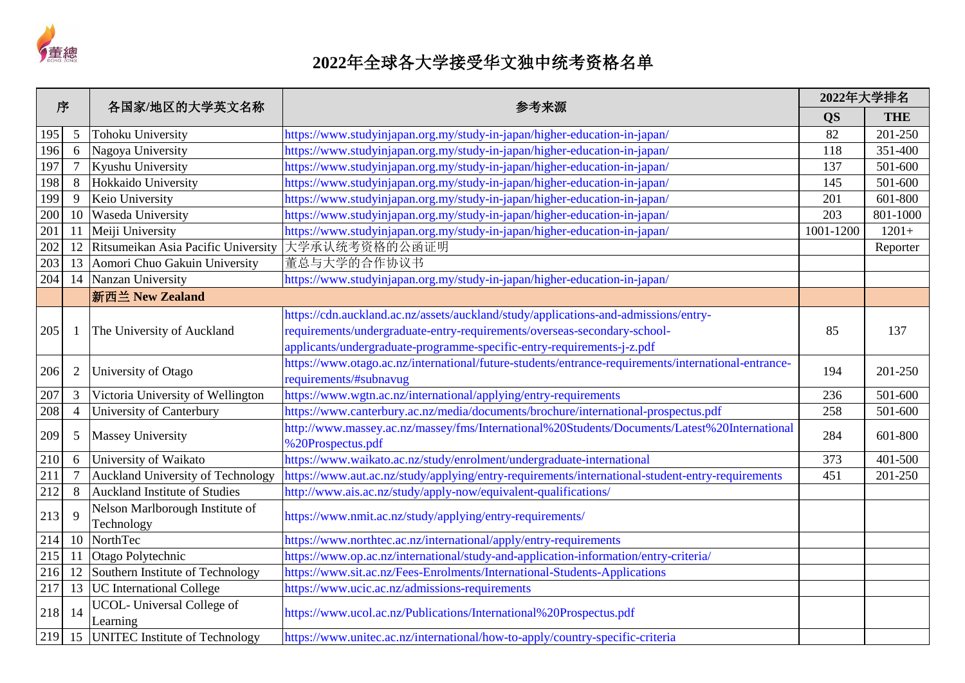

| 序   |                | 各国家/地区的大学英文名称                                 | 参考来源                                                                                                |           | 2022年大学排名  |  |
|-----|----------------|-----------------------------------------------|-----------------------------------------------------------------------------------------------------|-----------|------------|--|
|     |                |                                               |                                                                                                     | <b>QS</b> | <b>THE</b> |  |
| 195 | 5              | <b>Tohoku University</b>                      | https://www.studyinjapan.org.my/study-in-japan/higher-education-in-japan/                           | 82        | 201-250    |  |
| 196 | 6              | Nagoya University                             | https://www.studyinjapan.org.my/study-in-japan/higher-education-in-japan/                           | 118       | 351-400    |  |
| 197 | $\overline{7}$ | Kyushu University                             | https://www.studyinjapan.org.my/study-in-japan/higher-education-in-japan/                           | 137       | 501-600    |  |
| 198 | 8              | Hokkaido University                           | https://www.studyinjapan.org.my/study-in-japan/higher-education-in-japan/                           | 145       | 501-600    |  |
| 199 | 9              | Keio University                               | https://www.studyinjapan.org.my/study-in-japan/higher-education-in-japan/                           | 201       | 601-800    |  |
| 200 | 10             | Waseda University                             | https://www.studyinjapan.org.my/study-in-japan/higher-education-in-japan/                           | 203       | 801-1000   |  |
| 201 | 11             | Meiji University                              | https://www.studyinjapan.org.my/study-in-japan/higher-education-in-japan/                           | 1001-1200 | $1201+$    |  |
| 202 | 12             | Ritsumeikan Asia Pacific University           | 大学承认统考资格的公函证明                                                                                       |           | Reporter   |  |
| 203 | 13             | Aomori Chuo Gakuin University                 | 董总与大学的合作协议书                                                                                         |           |            |  |
| 204 | 14             | Nanzan University                             | https://www.studyinjapan.org.my/study-in-japan/higher-education-in-japan/                           |           |            |  |
|     |                | 新西兰 New Zealand                               |                                                                                                     |           |            |  |
|     |                |                                               | https://cdn.auckland.ac.nz/assets/auckland/study/applications-and-admissions/entry-                 |           |            |  |
| 205 |                | The University of Auckland                    | requirements/undergraduate-entry-requirements/overseas-secondary-school-                            | 85        | 137        |  |
|     |                |                                               | applicants/undergraduate-programme-specific-entry-requirements-j-z.pdf                              |           |            |  |
|     |                |                                               | https://www.otago.ac.nz/international/future-students/entrance-requirements/international-entrance- |           |            |  |
| 206 | $\overline{2}$ | University of Otago                           | requirements/#subnavug                                                                              | 194       | 201-250    |  |
| 207 | 3              | Victoria University of Wellington             | https://www.wgtn.ac.nz/international/applying/entry-requirements                                    | 236       | 501-600    |  |
| 208 | $\overline{4}$ | University of Canterbury                      | https://www.canterbury.ac.nz/media/documents/brochure/international-prospectus.pdf                  | 258       | 501-600    |  |
| 209 |                |                                               | http://www.massey.ac.nz/massey/fms/International%20Students/Documents/Latest%20International        | 284       | 601-800    |  |
|     | 5              | <b>Massey University</b>                      | %20Prospectus.pdf                                                                                   |           |            |  |
| 210 | 6              | University of Waikato                         | https://www.waikato.ac.nz/study/enrolment/undergraduate-international                               | 373       | 401-500    |  |
| 211 | $\overline{7}$ | <b>Auckland University of Technology</b>      | https://www.aut.ac.nz/study/applying/entry-requirements/international-student-entry-requirements    | 451       | 201-250    |  |
| 212 | 8              | <b>Auckland Institute of Studies</b>          | http://www.ais.ac.nz/study/apply-now/equivalent-qualifications/                                     |           |            |  |
| 213 | 9              | Nelson Marlborough Institute of               | https://www.nmit.ac.nz/study/applying/entry-requirements/                                           |           |            |  |
|     |                | Technology                                    |                                                                                                     |           |            |  |
| 214 | 10             | <b>NorthTec</b>                               | https://www.northtec.ac.nz/international/apply/entry-requirements                                   |           |            |  |
| 215 | 11             | Otago Polytechnic                             | https://www.op.ac.nz/international/study-and-application-information/entry-criteria/                |           |            |  |
| 216 | 12             | Southern Institute of Technology              | https://www.sit.ac.nz/Fees-Enrolments/International-Students-Applications                           |           |            |  |
| 217 | 13             | <b>UC</b> International College               | https://www.ucic.ac.nz/admissions-requirements                                                      |           |            |  |
| 218 | 14             | <b>UCOL-</b> Universal College of<br>Learning | https://www.ucol.ac.nz/Publications/International%20Prospectus.pdf                                  |           |            |  |
| 219 | 15             | <b>UNITEC</b> Institute of Technology         | https://www.unitec.ac.nz/international/how-to-apply/country-specific-criteria                       |           |            |  |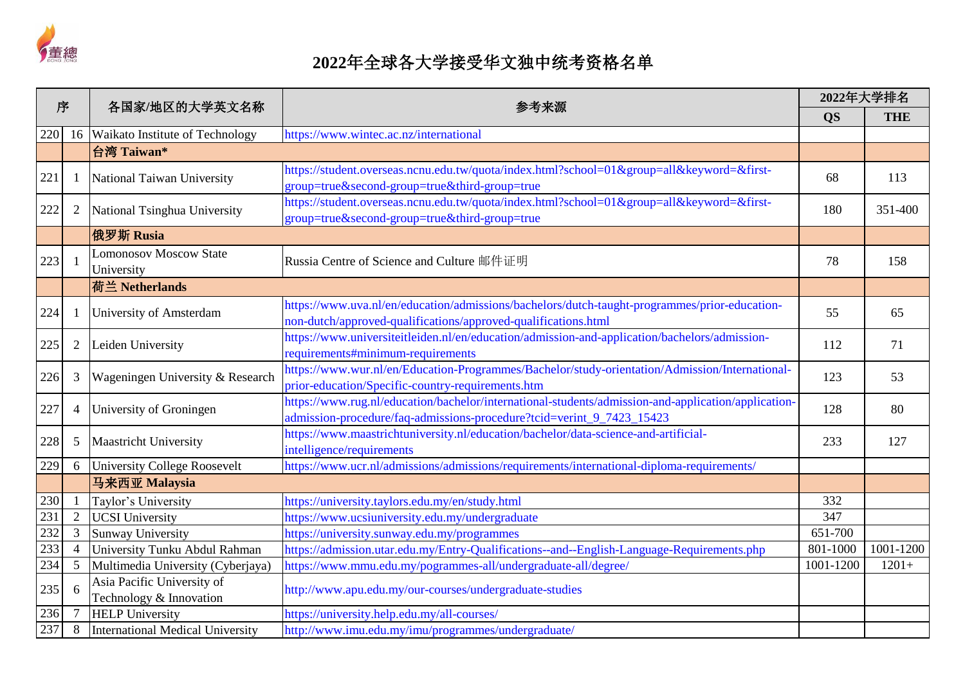

| 序   |                | 各国家/地区的大学英文名称                                         | 参考来源                                                                                                                                                                         | 2022年大学排名 |            |
|-----|----------------|-------------------------------------------------------|------------------------------------------------------------------------------------------------------------------------------------------------------------------------------|-----------|------------|
|     |                |                                                       |                                                                                                                                                                              | <b>QS</b> | <b>THE</b> |
| 220 | 16             | Waikato Institute of Technology                       | https://www.wintec.ac.nz/international                                                                                                                                       |           |            |
|     |                | 台湾 Taiwan*                                            |                                                                                                                                                                              |           |            |
| 221 |                | National Taiwan University                            | https://student.overseas.ncnu.edu.tw/quota/index.html?school=01&group=all&keyword=&first-<br>group=true&second-group=true&third-group=true                                   | 68        | 113        |
| 222 | $\overline{2}$ | National Tsinghua University                          | https://student.overseas.ncnu.edu.tw/quota/index.html?school=01&group=all&keyword=&first-<br>group=true&second-group=true&third-group=true                                   | 180       | 351-400    |
|     |                | 俄罗斯 Rusia                                             |                                                                                                                                                                              |           |            |
| 223 |                | <b>Lomonosov Moscow State</b><br>University           | Russia Centre of Science and Culture 邮件证明                                                                                                                                    | 78        | 158        |
|     |                | 荷兰 Netherlands                                        |                                                                                                                                                                              |           |            |
| 224 |                | University of Amsterdam                               | https://www.uva.nl/en/education/admissions/bachelors/dutch-taught-programmes/prior-education-<br>non-dutch/approved-qualifications/approved-qualifications.html              | 55        | 65         |
| 225 | $\overline{2}$ | Leiden University                                     | https://www.universiteitleiden.nl/en/education/admission-and-application/bachelors/admission-<br>requirements#minimum-requirements                                           | 112       | 71         |
| 226 | 3              | Wageningen University & Research                      | https://www.wur.nl/en/Education-Programmes/Bachelor/study-orientation/Admission/International-<br>prior-education/Specific-country-requirements.htm                          | 123       | 53         |
| 227 | $\overline{4}$ | University of Groningen                               | https://www.rug.nl/education/bachelor/international-students/admission-and-application/application-<br>admission-procedure/faq-admissions-procedure?tcid=verint_9_7423_15423 | 128       | 80         |
| 228 | 5              | <b>Maastricht University</b>                          | https://www.maastrichtuniversity.nl/education/bachelor/data-science-and-artificial-<br>intelligence/requirements                                                             | 233       | 127        |
| 229 | 6              | <b>University College Roosevelt</b>                   | https://www.ucr.nl/admissions/admissions/requirements/international-diploma-requirements/                                                                                    |           |            |
|     |                | 马来西亚 Malaysia                                         |                                                                                                                                                                              |           |            |
| 230 | $\blacksquare$ | Taylor's University                                   | https://university.taylors.edu.my/en/study.html                                                                                                                              | 332       |            |
| 231 | $\overline{2}$ | <b>UCSI</b> University                                | https://www.ucsiuniversity.edu.my/undergraduate                                                                                                                              | 347       |            |
| 232 | $\mathfrak{Z}$ | <b>Sunway University</b>                              | https://university.sunway.edu.my/programmes                                                                                                                                  | 651-700   |            |
| 233 | $\overline{4}$ | University Tunku Abdul Rahman                         | https://admission.utar.edu.my/Entry-Qualifications--and--English-Language-Requirements.php                                                                                   | 801-1000  | 1001-1200  |
| 234 | 5              | Multimedia University (Cyberjaya)                     | https://www.mmu.edu.my/pogrammes-all/undergraduate-all/degree/                                                                                                               | 1001-1200 | $1201+$    |
| 235 | 6              | Asia Pacific University of<br>Technology & Innovation | http://www.apu.edu.my/our-courses/undergraduate-studies                                                                                                                      |           |            |
| 236 | 7              | <b>HELP University</b>                                | https://university.help.edu.my/all-courses/                                                                                                                                  |           |            |
| 237 | $8\,$          | International Medical University                      | http://www.imu.edu.my/imu/programmes/undergraduate/                                                                                                                          |           |            |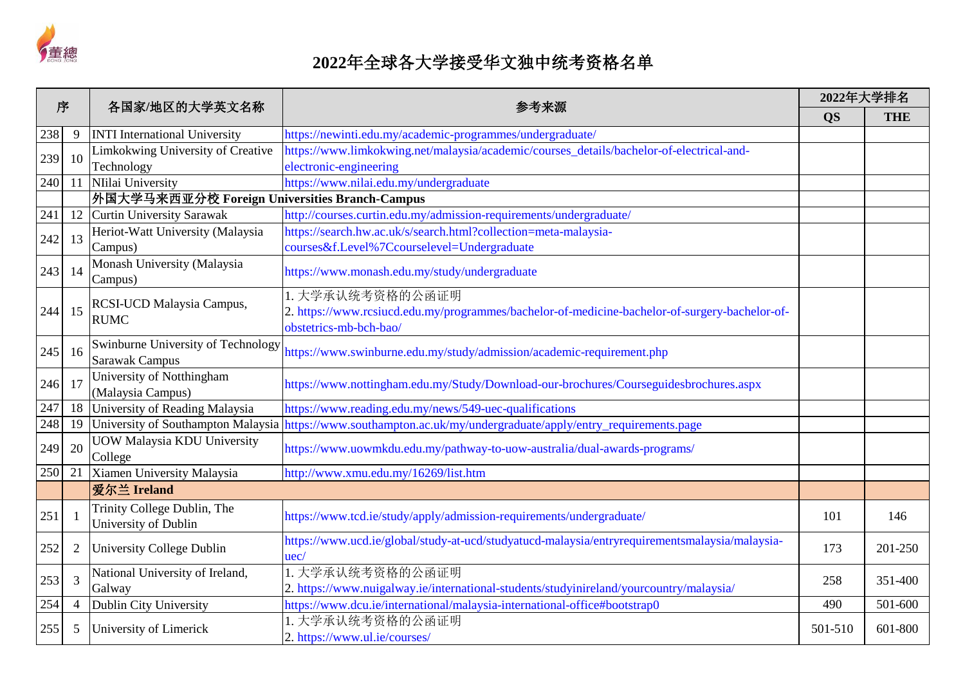

| 序   |                | 各国家/地区的大学英文名称<br>参考来源                                       |                                                                                                        |           | 2022年大学排名  |  |
|-----|----------------|-------------------------------------------------------------|--------------------------------------------------------------------------------------------------------|-----------|------------|--|
|     |                |                                                             |                                                                                                        | <b>QS</b> | <b>THE</b> |  |
| 238 | 9              | <b>INTI International University</b>                        | https://newinti.edu.my/academic-programmes/undergraduate/                                              |           |            |  |
| 239 | 10             | Limkokwing University of Creative                           | https://www.limkokwing.net/malaysia/academic/courses_details/bachelor-of-electrical-and-               |           |            |  |
|     |                | Technology                                                  | electronic-engineering                                                                                 |           |            |  |
| 240 | 11             | NIilai University                                           | https://www.nilai.edu.my/undergraduate                                                                 |           |            |  |
|     |                | 外国大学马来西亚分校 Foreign Universities Branch-Campus               |                                                                                                        |           |            |  |
| 241 | 12             | <b>Curtin University Sarawak</b>                            | http://courses.curtin.edu.my/admission-requirements/undergraduate/                                     |           |            |  |
| 242 | 13             | Heriot-Watt University (Malaysia                            | https://search.hw.ac.uk/s/search.html?collection=meta-malaysia-                                        |           |            |  |
|     |                | Campus)                                                     | courses&f.Level%7Ccourselevel=Undergraduate                                                            |           |            |  |
| 243 | 14             | Monash University (Malaysia<br>Campus)                      | https://www.monash.edu.my/study/undergraduate                                                          |           |            |  |
|     |                |                                                             | 1. 大学承认统考资格的公函证明                                                                                       |           |            |  |
| 244 | 15             | RCSI-UCD Malaysia Campus,                                   | 2. https://www.rcsiucd.edu.my/programmes/bachelor-of-medicine-bachelor-of-surgery-bachelor-of-         |           |            |  |
|     |                | <b>RUMC</b>                                                 | obstetrics-mb-bch-bao/                                                                                 |           |            |  |
| 245 | 16             | Swinburne University of Technology<br><b>Sarawak Campus</b> | https://www.swinburne.edu.my/study/admission/academic-requirement.php                                  |           |            |  |
|     | 17             | University of Notthingham                                   |                                                                                                        |           |            |  |
| 246 |                | (Malaysia Campus)                                           | https://www.nottingham.edu.my/Study/Download-our-brochures/Courseguidesbrochures.aspx                  |           |            |  |
| 247 | 18             | University of Reading Malaysia                              | https://www.reading.edu.my/news/549-uec-qualifications                                                 |           |            |  |
| 248 | 19             | University of Southampton Malaysia                          | https://www.southampton.ac.uk/my/undergraduate/apply/entry_requirements.page                           |           |            |  |
| 249 | 20             | <b>UOW Malaysia KDU University</b><br>College               | https://www.uowmkdu.edu.my/pathway-to-uow-australia/dual-awards-programs/                              |           |            |  |
| 250 | 21             | Xiamen University Malaysia                                  | http://www.xmu.edu.my/16269/list.htm                                                                   |           |            |  |
|     |                | 爱尔兰 Ireland                                                 |                                                                                                        |           |            |  |
| 251 |                | Trinity College Dublin, The<br>University of Dublin         | https://www.tcd.ie/study/apply/admission-requirements/undergraduate/                                   | 101       | 146        |  |
| 252 | $\overline{2}$ | University College Dublin                                   | https://www.ucd.ie/global/study-at-ucd/studyatucd-malaysia/entryrequirementsmalaysia/malaysia-<br>uec/ | 173       | 201-250    |  |
| 253 | 3              | National University of Ireland,                             | 1. 大学承认统考资格的公函证明                                                                                       | 258       | 351-400    |  |
|     |                | Galway                                                      | 2. https://www.nuigalway.ie/international-students/studyinireland/yourcountry/malaysia/                |           |            |  |
| 254 | $\overline{4}$ | Dublin City University                                      | https://www.dcu.ie/international/malaysia-international-office#bootstrap0                              | 490       | 501-600    |  |
| 255 | 5              | University of Limerick                                      | 1. 大学承认统考资格的公函证明                                                                                       | 501-510   | 601-800    |  |
|     |                |                                                             | 2. https://www.ul.ie/courses/                                                                          |           |            |  |